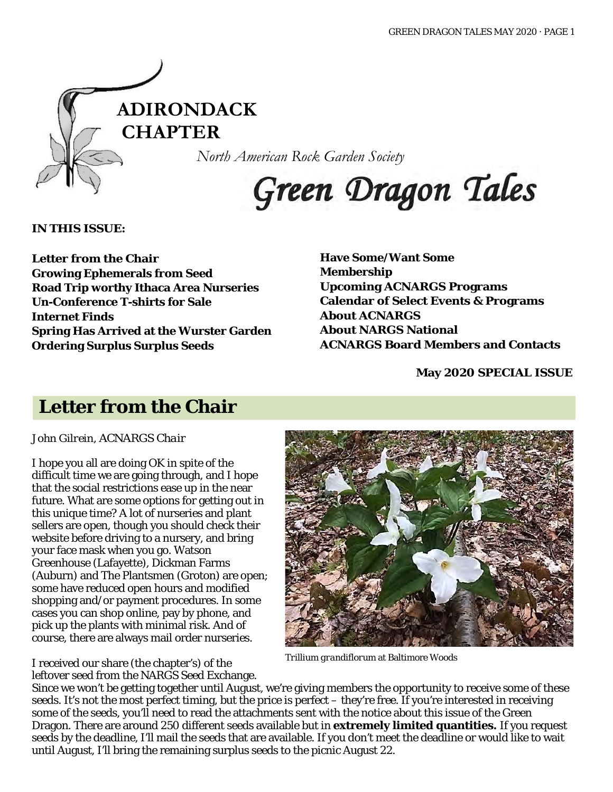

*North American Rock Garden Society*

# Green Dragon Tales

**IN THIS ISSUE:**

**Letter from the Chair Growing Ephemerals from Seed Road Trip worthy Ithaca Area Nurseries Un-Conference T-shirts for Sale Internet Finds Spring Has Arrived at the Wurster Garden Ordering Surplus Surplus Seeds**

**Have Some/Want Some Membership Upcoming ACNARGS Programs Calendar of Select Events & Programs About ACNARGS About NARGS National ACNARGS Board Members and Contacts**

**May 2020 SPECIAL ISSUE**

# **Letter from the Chair**

*John Gilrein, ACNARGS Chair*

I hope you all are doing OK in spite of the difficult time we are going through, and I hope that the social restrictions ease up in the near future. What are some options for getting out in this unique time? A lot of nurseries and plant sellers are open, though you should check their website before driving to a nursery, and bring your face mask when you go. Watson Greenhouse (Lafayette), Dickman Farms (Auburn) and The Plantsmen (Groton) are open; some have reduced open hours and modified shopping and/or payment procedures. In some cases you can shop online, pay by phone, and pick up the plants with minimal risk. And of course, there are always mail order nurseries.

I received our share (the chapter's) of the



*Trillium grandiflorum* at Baltimore Woods

leftover seed from the NARGS Seed Exchange. Since we won't be getting together until August, we're giving members the opportunity to receive some of these seeds. It's not the most perfect timing, but the price is perfect – they're free. If you're interested in receiving some of the seeds, you'll need to read the attachments sent with the notice about this issue of the Green Dragon. There are around 250 different seeds available but in **extremely limited quantities.** If you request seeds by the deadline, I'll mail the seeds that are available. If you don't meet the deadline or would like to wait until August, I'll bring the remaining surplus seeds to the picnic August 22.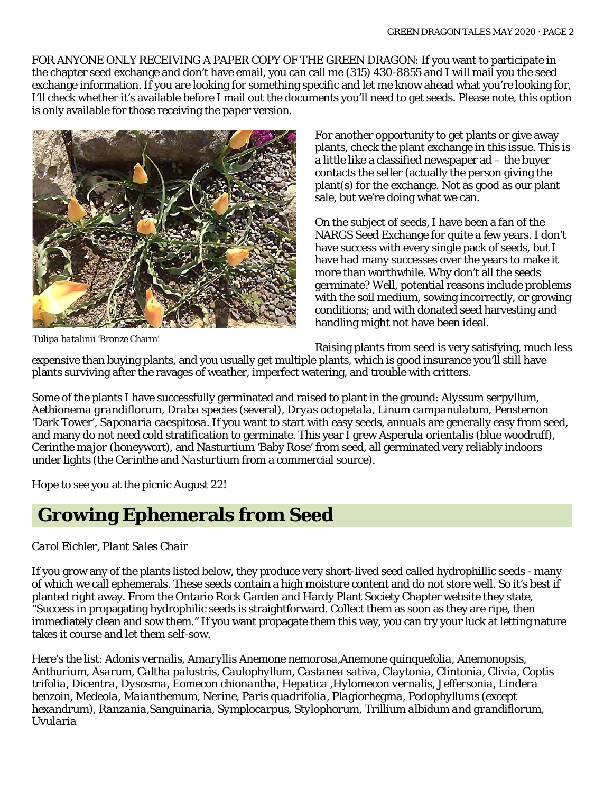FOR ANYONE ONLY RECEIVING A PAPER COPY OF THE GREEN DRAGON: If you want to participate in the chapter seed exchange and don't have email, you can call me (315) 430-8855 and I will mail you the seed exchange information. If you are looking for something specific and let me know ahead what you're looking for, I'll check whether it's available before I mail out the documents you'll need to get seeds. Please note, this option is only available for those receiving the paper version.



*Tulipa batalinii* 'Bronze Charm'

For another opportunity to get plants or give away plants, check the plant exchange in this issue. This is a little like a classified newspaper ad – the buyer contacts the seller (actually the person giving the plant(s) for the exchange. Not as good as our plant sale, but we're doing what we can.

On the subject of seeds, I have been a fan of the NARGS Seed Exchange for quite a few years. I don't have success with every single pack of seeds, but I have had many successes over the years to make it more than worthwhile. Why don't all the seeds germinate? Well, potential reasons include problems with the soil medium, sowing incorrectly, or growing conditions; and with donated seed harvesting and handling might not have been ideal.

Raising plants from seed is very satisfying, much less

expensive than buying plants, and you usually get multiple plants, which is good insurance you'll still have plants surviving after the ravages of weather, imperfect watering, and trouble with critters.

Some of the plants I have successfully germinated and raised to plant in the ground: *Alyssum serpyllum*, *Aethionema grandiflorum*, *Draba* species (several), *Dryas octopetala*, *Linum campanulatum*, *Penstemon* 'Dark Tower', *Saponaria caespitosa*. If you want to start with easy seeds, annuals are generally easy from seed, and many do not need cold stratification to germinate. This year I grew *Asperula orientalis* (blue woodruff), *Cerinthe major* (honeywort), and *Nasturtium* 'Baby Rose' from seed, all germinated very reliably indoors under lights (the *Cerinthe* and *Nasturtium* from a commercial source).

Hope to see you at the picnic August 22!

### **Growing Ephemerals from Seed**

#### *Carol Eichler, Plant Sales Chair*

If you grow any of the plants listed below, they produce very short-lived seed called hydrophillic seeds - many of which we call ephemerals. These seeds contain a high moisture content and do not store well. So it's best if planted right away. From the Ontario Rock Garden and Hardy Plant Society Chapter website they state, "Success in propagating hydrophilic seeds is straightforward. Collect them as soon as they are ripe, then immediately clean and sow them." If you want propagate them this way, you can try your luck at letting nature takes it course and let them self-sow.

Here's the list: *Adonis vernalis, Amaryllis Anemone nemorosa,Anemone quinquefolia, Anemonopsis, Anthurium, Asarum, Caltha palustris, Caulophyllum, Castanea sativa, Claytonia, Clintonia, Clivia, Coptis trifolia, Dicentra, Dysosma, Eomecon chionantha, Hepatica ,Hylomecon vernalis, Jeffersonia, Lindera benzoin, Medeola, Maianthemum, Nerine, Paris quadrifolia, Plagiorhegma, Podophyllums (except hexandrum), Ranzania,Sanguinaria, Symplocarpus, Stylophorum, Trillium albidum and grandiflorum, Uvularia*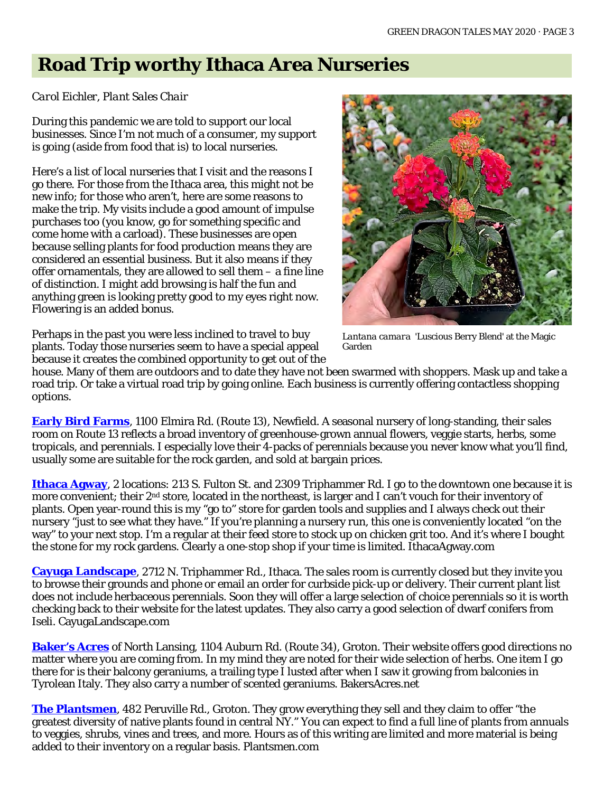### **Road Trip worthy Ithaca Area Nurseries**

#### *Carol Eichler, Plant Sales Chair*

During this pandemic we are told to support our local businesses. Since I'm not much of a consumer, my support is going (aside from food that is) to local nurseries.

Here's a list of local nurseries that I visit and the reasons I go there. For those from the Ithaca area, this might not be new info; for those who aren't, here are some reasons to make the trip. My visits include a good amount of impulse purchases too (you know, go for something specific and come home with a carload). These businesses are open because selling plants for food production means they are considered an essential business. But it also means if they offer ornamentals, they are allowed to sell them – a fine line of distinction. I might add browsing is half the fun and anything green is looking pretty good to my eyes right now. Flowering is an added bonus.



*Lantana camara* 'Luscious Berry Blend' at the Magic Garden

Perhaps in the past you were less inclined to travel to buy plants. Today those nurseries seem to have a special appeal because it creates the combined opportunity to get out of the

house. Many of them are outdoors and to date they have not been swarmed with shoppers. Mask up and take a road trip. Or take a virtual road trip by going online. Each business is currently offering contactless shopping options.

**[Early Bird Farms](https://www.earlybirdfarmithaca.com/)**, 1100 Elmira Rd. (Route 13), Newfield. A seasonal nursery of long-standing, their sales room on Route 13 reflects a broad inventory of greenhouse-grown annual flowers, veggie starts, herbs, some tropicals, and perennials. I especially love their 4-packs of perennials because you never know what you'll find, usually some are suitable for the rock garden, and sold at bargain prices.

**[Ithaca Agway](http://www.ithacaagway.com/)**, 2 locations: 213 S. Fulton St. and 2309 Triphammer Rd. I go to the downtown one because it is more convenient; their 2<sup>nd</sup> store, located in the northeast, is larger and I can't vouch for their inventory of plants. Open year-round this is my "go to" store for garden tools and supplies and I always check out their nursery "just to see what they have." If you're planning a nursery run, this one is conveniently located "on the way" to your next stop. I'm a regular at their feed store to stock up on chicken grit too. And it's where I bought the stone for my rock gardens. Clearly a one-stop shop if your time is limited. IthacaAgway.com

**[Cayuga Landscape](http://cayugalandscape.com/)**, 2712 N. Triphammer Rd., Ithaca. The sales room is currently closed but they invite you to browse their grounds and phone or email an order for curbside pick-up or delivery. Their current plant list does not include herbaceous perennials. Soon they will offer a large selection of choice perennials so it is worth checking back to their website for the latest updates. They also carry a good selection of dwarf conifers from Iseli. CayugaLandscape.com

**[Baker's Acres](http://bakersacres.net/)** of North Lansing, 1104 Auburn Rd. (Route 34), Groton. Their website offers good directions no matter where you are coming from. In my mind they are noted for their wide selection of herbs. One item I go there for is their balcony geraniums, a trailing type I lusted after when I saw it growing from balconies in Tyrolean Italy. They also carry a number of scented geraniums. BakersAcres.net

**[The Plantsmen](https://www.plantsmen.com/)**, 482 Peruville Rd., Groton. They grow everything they sell and they claim to offer "the greatest diversity of native plants found in central NY." You can expect to find a full line of plants from annuals to veggies, shrubs, vines and trees, and more. Hours as of this writing are limited and more material is being added to their inventory on a regular basis. Plantsmen.com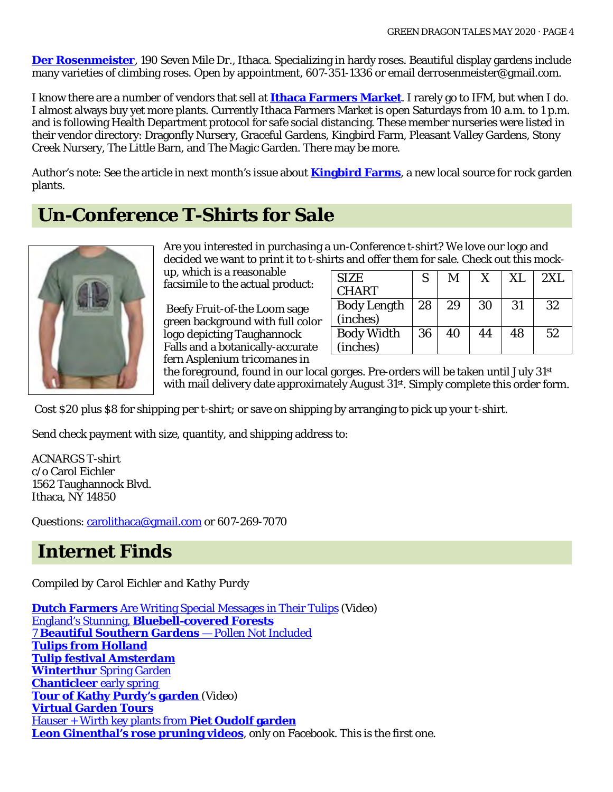**[Der Rosenmeister](http://derrosenmeister.com/)**, 190 Seven Mile Dr., Ithaca. Specializing in hardy roses. Beautiful display gardens include many varieties of climbing roses. Open by appointment, 607-351-1336 or email [derrosenmeister@gmail.com.](mailto:derrosenmeister@gmail.com)

I know there are a number of vendors that sell at **[Ithaca Farmers Market](https://ithacamarket.com/)**. I rarely go to IFM, but when I do. I almost always buy yet more plants. Currently Ithaca Farmers Market is open Saturdays from 10 a.m. to 1 p.m. and is following Health Department protocol for safe social distancing. These member nurseries were listed in their vendor directory: Dragonfly Nursery, Graceful Gardens, Kingbird Farm, Pleasant Valley Gardens, Stony Creek Nursery, The Little Barn, and The Magic Garden. There may be more.

Author's note: See the article in next month's issue about **[Kingbird Farms](https://kingbirdfarm.com/)**, a new local source for rock garden plants.

# **Un-Conference T-Shirts for Sale**



Are you interested in purchasing a un-Conference t-shirt? We love our logo and decided we want to print it to t-shirts and offer them for sale. Check out this mock-

up, which is a reasonable facsimile to the actual product:

Beefy Fruit-of-the Loom sage green background with full color logo depicting Taughannock Falls and a botanically-accurate fern *Asplenium tricomanes* in

| <b>SIZE</b>        | S  | M  | X  | XL | 2XL |
|--------------------|----|----|----|----|-----|
| <b>CHART</b>       |    |    |    |    |     |
| <b>Body Length</b> | 28 | 29 | 30 | 31 | 32  |
| (inches)           |    |    |    |    |     |
| <b>Body Width</b>  | 36 | 40 | 44 | 48 | 52  |
| (inches)           |    |    |    |    |     |

the foreground, found in our local gorges. Pre-orders will be taken until July 31st with mail delivery date approximately August 31<sup>st</sup>. Simply complete this order form.

Cost \$20 plus \$8 for shipping per t-shirt; or save on shipping by arranging to pick up your t-shirt.

Send check payment with size, quantity, and shipping address to:

ACNARGS T-shirt c/o Carol Eichler 1562 Taughannock Blvd. Ithaca, NY 14850

Questions: [carolithaca@gmail.com](mailto:carolithaca@gmail.com) or 607-269-7070

### **Internet Finds**

*Compiled by Carol Eichler and Kathy Purdy*

**Dutch Farmers** [Are Writing Special Messages in Their Tulips](https://www.travelandleisure.com/attractions/parks-gardens/holland-tulip-farmers-plant-messages?utm_source) (Video) England's Stunning, **[Bluebell-covered Forests](https://www.travelandleisure.com/syndication/virtual-tour-uk-bluebells-national-trust?utm_source)** 7 **[Beautiful Southern Gardens](https://www.southernliving.com/news/botanical-gardens-us-south-virtual-tours)** — Pollen Not Included **[Tulips from Holland](https://youtu.be/dQuoAu0YICk) [Tulip festival Amsterdam](https://tulipfestivalamsterdam.com/) Winterthur** [Spring Garden](https://youtu.be/qzmJh4xHrZU) **[Chanticleer](https://youtu.be/YuEVyasjWn0)** early spring **[Tour of Kathy Purdy's](https://youtu.be/xY5lq0h4n34) garden** (Video) **[Virtual Garden Tours](https://www.pennlive.com/gardening/2020/04/virtual-garden-tours-talks-and-videos-to-get-you-through-the-coronavirus-shutdown.html)** Hauser [+ Wirth key plants from](https://www.gardensillustrated.com/gardens/24-key-plants-from-the-garden-at-hauser-and-wirth-art-gallery-in-somerset/) **Piet Oudolf garden [Leon Ginenthal's rose pruning videos](https://www.facebook.com/leon.ginenthal/videos/vb.1154777737/10219244605723334/?type=2&video_source=user_video_tab)**, only on Facebook. This is the first one.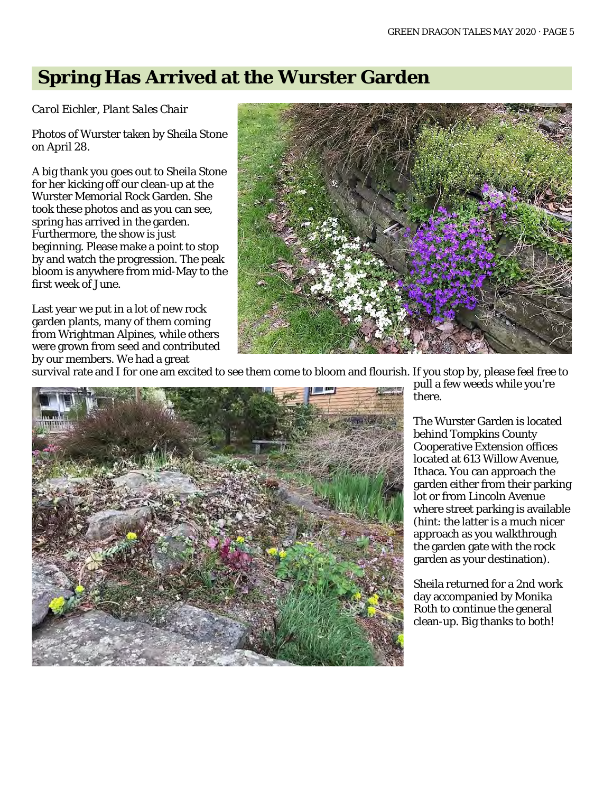### **Spring Has Arrived at the Wurster Garden**

#### *Carol Eichler, Plant Sales Chair*

Photos of Wurster taken by Sheila Stone on April 28.

A big thank you goes out to Sheila Stone for her kicking off our clean-up at the Wurster Memorial Rock Garden. She took these photos and as you can see, spring has arrived in the garden. Furthermore, the show is just beginning. Please make a point to stop by and watch the progression. The peak bloom is anywhere from mid-May to the first week of June.

Last year we put in a lot of new rock garden plants, many of them coming from Wrightman Alpines, while others were grown from seed and contributed by our members. We had a great



survival rate and I for one am excited to see them come to bloom and flourish. If you stop by, please feel free to



pull a few weeds while you're there.

The Wurster Garden is located behind Tompkins County Cooperative Extension offices located at 613 Willow Avenue, Ithaca. You can approach the garden either from their parking lot or from Lincoln Avenue where street parking is available (hint: the latter is a much nicer approach as you walkthrough the garden gate with the rock garden as your destination).

Sheila returned for a 2nd work day accompanied by Monika Roth to continue the general clean-up. Big thanks to both!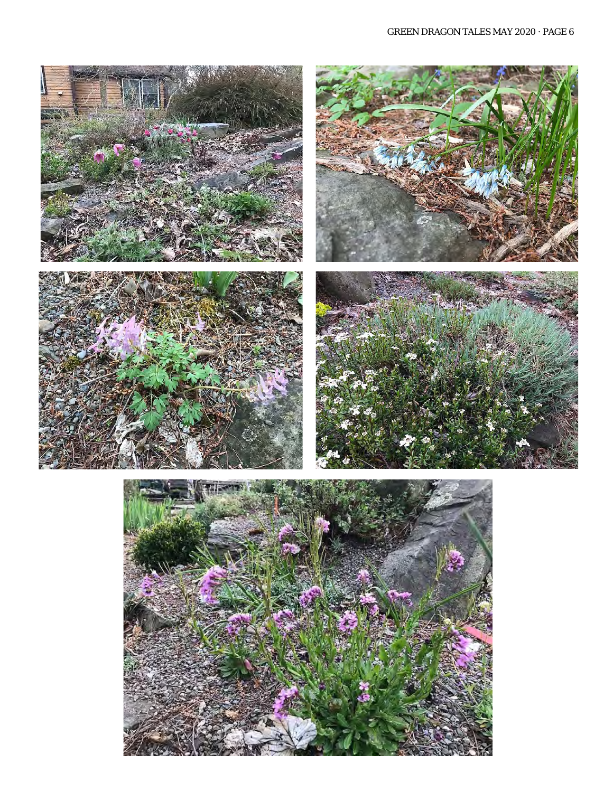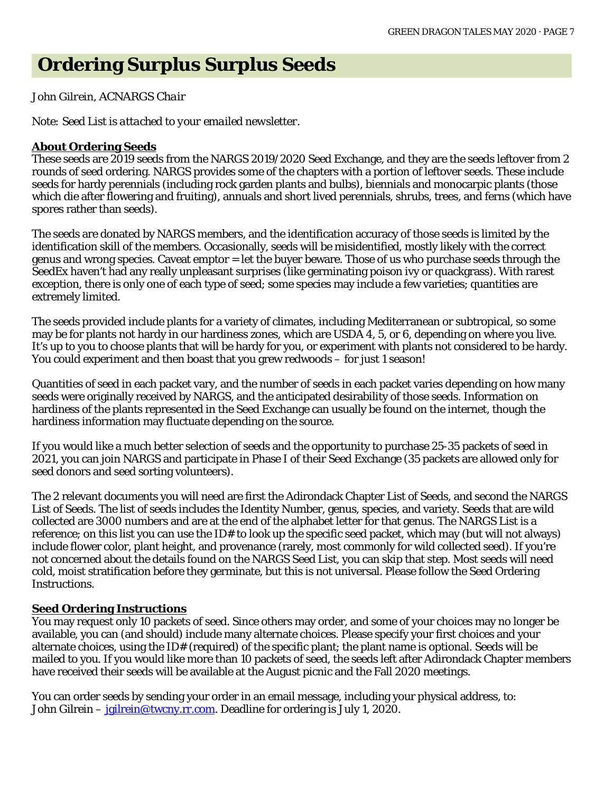# **Ordering Surplus Surplus Seeds**

*John Gilrein, ACNARGS Chair*

*Note: Seed List is attached to your emailed newsletter.*

#### **About Ordering Seeds**

These seeds are 2019 seeds from the NARGS 2019/2020 Seed Exchange, and they are the seeds leftover from 2 rounds of seed ordering. NARGS provides some of the chapters with a portion of leftover seeds. These include seeds for hardy perennials (including rock garden plants and bulbs), biennials and monocarpic plants (those which die after flowering and fruiting), annuals and short lived perennials, shrubs, trees, and ferns (which have spores rather than seeds).

The seeds are donated by NARGS members, and the identification accuracy of those seeds is limited by the identification skill of the members. Occasionally, seeds will be misidentified, mostly likely with the correct genus and wrong species. Caveat emptor = let the buyer beware. Those of us who purchase seeds through the SeedEx haven't had any really unpleasant surprises (like germinating poison ivy or quackgrass). With rarest exception, there is only one of each type of seed; some species may include a few varieties; quantities are extremely limited.

The seeds provided include plants for a variety of climates, including Mediterranean or subtropical, so some may be for plants not hardy in our hardiness zones, which are USDA 4, 5, or 6, depending on where you live. It's up to you to choose plants that will be hardy for you, or experiment with plants not considered to be hardy. You could experiment and then boast that you grew redwoods – for just 1 season!

Quantities of seed in each packet vary, and the number of seeds in each packet varies depending on how many seeds were originally received by NARGS, and the anticipated desirability of those seeds. Information on hardiness of the plants represented in the Seed Exchange can usually be found on the internet, though the hardiness information may fluctuate depending on the source.

If you would like a much better selection of seeds and the opportunity to purchase 25-35 packets of seed in 2021, you can join NARGS and participate in Phase I of their Seed Exchange (35 packets are allowed only for seed donors and seed sorting volunteers).

The 2 relevant documents you will need are first the Adirondack Chapter List of Seeds, and second the NARGS List of Seeds. The list of seeds includes the Identity Number, genus, species, and variety. Seeds that are wild collected are 3000 numbers and are at the end of the alphabet letter for that genus. The NARGS List is a reference; on this list you can use the  $ID#$  to look up the specific seed packet, which may (but will not always) include flower color, plant height, and provenance (rarely, most commonly for wild collected seed). If you're not concerned about the details found on the NARGS Seed List, you can skip that step. Most seeds will need cold, moist stratification before they germinate, but this is not universal. Please follow the Seed Ordering Instructions.

#### **Seed Ordering Instructions**

You may request only 10 packets of seed. Since others may order, and some of your choices may no longer be available, you can (and should) include many alternate choices. Please specify your first choices and your alternate choices, using the ID# (required) of the specific plant; the plant name is optional. Seeds will be mailed to you. If you would like more than 10 packets of seed, the seeds left after Adirondack Chapter members have received their seeds will be available at the August picnic and the Fall 2020 meetings.

You can order seeds by sending your order in an email message, including your physical address, to: John Gilrein – *jgilrein@twcny.rr.com.* Deadline for ordering is July 1, 2020.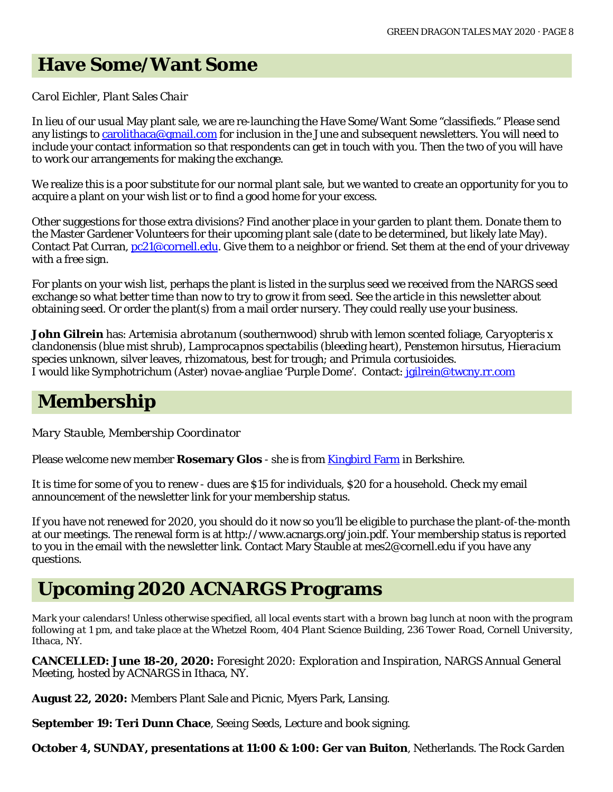### **Have Some/Want Some**

#### *Carol Eichler, Plant Sales Chair*

In lieu of our usual May plant sale, we are re-launching the Have Some/Want Some "classifieds." Please send any listings to [carolithaca@gmail.com](mailto:carolithaca@gmail.com) for inclusion in the June and subsequent newsletters. You will need to include your contact information so that respondents can get in touch with you. Then the two of you will have to work our arrangements for making the exchange.

We realize this is a poor substitute for our normal plant sale, but we wanted to create an opportunity for you to acquire a plant on your wish list or to find a good home for your excess.

Other suggestions for those extra divisions? Find another place in your garden to plant them. Donate them to the Master Gardener Volunteers for their upcoming plant sale (date to be determined, but likely late May). Contact Pat Curran[, pc21@cornell.edu.](mailto:pc21@cornell.edu) Give them to a neighbor or friend. Set them at the end of your driveway with a free sign.

For plants on your wish list, perhaps the plant is listed in the surplus seed we received from the NARGS seed exchange so what better time than now to try to grow it from seed. See the article in this newsletter about obtaining seed. Or order the plant(s) from a mail order nursery. They could really use your business.

**John Gilrein** has: *Artemisia abrotanum* (southernwood) shrub with lemon scented foliage, *Caryopteris* x *clandonensis* (blue mist shrub), *Lamprocapnos spectabilis* (bleeding heart), *Penstemon hirsutus*, *Hieracium*  species unknown, silver leaves, rhizomatous, best for trough; and *Primula cortusioides*. I would like *Symphotrichum* (Aster) *novae-angliae* 'Purple Dome'. Contact: [jgilrein@twcny.rr.com](mailto:jgilrein@twcny.rr.com)

### **Membership**

*Mary Stauble, Membership Coordinator*

Please welcome new member **Rosemary Glos** - she is from [Kingbird Farm](https://kingbirdfarm.com/) in Berkshire.

It is time for some of you to renew - dues are \$15 for individuals, \$20 for a household. Check my email announcement of the newsletter link for your membership status.

If you have not renewed for 2020, you should do it now so you'll be eligible to purchase the plant-of-the-month at our meetings. The renewal form is at [http://www.acnargs.org/join.pdf.](http://www.acnargs.org/join.pdf) Your membership status is reported to you in the email with the newsletter link. Contact Mary Stauble at [mes2@cornell.edu](mailto:mes2@cornell.edu) if you have any questions.

### **Upcoming 2020 ACNARGS Programs**

*Mark your calendars! Unless otherwise specified, all local events start with a brown bag lunch at noon with the program following at 1 pm, and take place at the Whetzel Room, 404 Plant Science Building, 236 Tower Road, Cornell University, Ithaca, NY.*

**CANCELLED: June 18-20, 2020:** *Foresight 2020: Exploration and Inspiration*, NARGS Annual General Meeting, hosted by ACNARGS in Ithaca, NY.

**August 22, 2020:** Members Plant Sale and Picnic, Myers Park, Lansing.

**September 19: Teri Dunn Chace**, *Seeing Seeds,* Lecture and book signing.

**October 4, SUNDAY, presentations at 11:00 & 1:00: Ger van Buiton**, Netherlands. *The Rock Garden*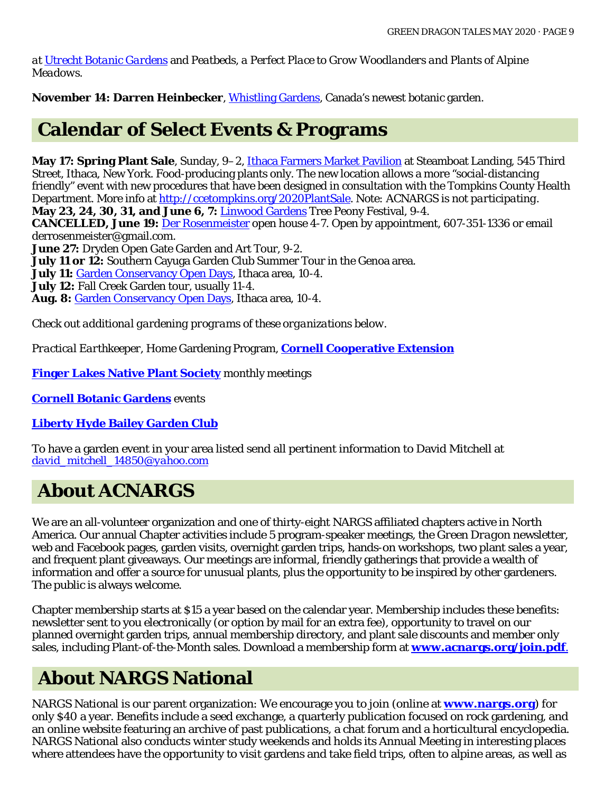*at [Utrecht Botanic Gardens](https://www.uu.nl/en/utrecht-botanic-gardens)* and *Peatbeds, a Perfect Place to Grow Woodlanders and Plants of Alpine Meadows.*

**November 14: Darren Heinbecker**, [Whistling Gardens,](https://www.whistlinggardens.ca/) Canada's newest botanic garden.

### **Calendar of Select Events & Programs**

**May 17: Spring Plant Sale**, Sunday, 9–2[, Ithaca Farmers Market Pavilion](http://r20.rs6.net/tn.jsp?f=0017lGWgYaZVRI3MArRkNZsMJ3RPf42DJY6lcgglwswY4m4Ckdt4-SUlsJzJcepDdBxhgw73jI7xNUuAXoYGgg_1XTffelMq6MqhGWo0Le3kzPbdrarsL9LF5SoYPHg01SfJxWTNnKKYkhEFUWIvsTerKdeAi3VKg4DaJEi1ftxQ3hOikayZVHNG0wA4Ay7gO0pizNiuLeJEec3jA2c7K3fRi-BWFUoRStSRNuTBqEHJ13lNrk24FBbXd5qzcSXbx-2CCyBODd3oHJbuHcysm5vXiOaQt28t1ybyurHE6d0P7jYCKx5bKGhf-RXBnz2tl9x9G04r_nR4eEEay4UMIsvM7O0SoyTXCtU_GiwdwPf1iUjKSdcn_X-0AkQRpOdMlzg&c=GdhgQN1XguvPcqeSU4ZcHLl4R-U1qccAg6c7gMmTeIdU-R18bnGGqA==&ch=wXHorAG0H5yr-Rrd1HdOumKUoyGGu44H73pTAL2sdfH1-gKxiYlPkQ==) at Steamboat Landing, 545 Third Street, Ithaca, New York. Food-producing plants only. The new location allows a more "social-distancing friendly" event with new procedures that have been designed in consultation with the Tompkins County Health Department. More info at [http://ccetompkins.org/2020PlantSale.](http://r20.rs6.net/tn.jsp?f=0017lGWgYaZVRI3MArRkNZsMJ3RPf42DJY6lcgglwswY4m4Ckdt4-SUlsJzJcepDdBxTJORCV7R8sEjAmKhNgj8njkBxHE1XuAsDwj88LbU5mSvkDO2kei9Y03WcngiL5s-wwqkYatzyvutxtmoCDQexSnraVDf56ZdUCY4eOHK-55Ej4vSRBRpq4R3eMmxKVvi&c=GdhgQN1XguvPcqeSU4ZcHLl4R-U1qccAg6c7gMmTeIdU-R18bnGGqA==&ch=wXHorAG0H5yr-Rrd1HdOumKUoyGGu44H73pTAL2sdfH1-gKxiYlPkQ==) *Note: ACNARGS is not participating.* **May 23, 24, 30, 31, and June 6, 7:** *[Linwood Gardens](https://www.linwoodgardens.org/)* Tree Peony Festival, 9-4. **CANCELLED, June 19:** [Der Rosenmeister](https://derrosenmeister.com/) open house 4-7. Open by appointment, 607-351-1336 or email [derrosenmeister@gmail.com.](mailto:derrosenmeister@gmail.com) **June 27:** Dryden Open Gate Garden and Art Tour, 9-2. **July 11 or 12:** Southern Cayuga Garden Club Summer Tour in the Genoa area. July 11: [Garden Conservancy Open Days,](https://www.gardenconservancy.org/open-days) Ithaca area, 10-4. **July 12:** Fall Creek Garden tour, usually 11-4. **Aug. 8:** [Garden Conservancy Open Days,](https://www.gardenconservancy.org/open-days) Ithaca area, 10-4.

*Check out additional gardening programs of these organizations below.*

*Practical Earthkeeper*, Home Gardening Program, **[Cornell Cooperative Extension](http://ccetompkins.org/gardening/practical-earthkeeper)**

**[Finger Lakes Native Plant Society](http://ccetompkins.org/gardening/practical-earthkeeper)** monthly meetings

**[Cornell Botanic Gardens](https://cornellbotanicgardens.org/explore/events/)** events

#### **[Liberty Hyde Bailey Garden Club](http://www.hort.cornell.edu/LHBGC/)**

To have a garden event in your area listed send all pertinent information to David Mitchell at *[david\\_mitchell\\_14850@yahoo.com](mailto:david_mitchell_14850@yahoo.com)*

# **About ACNARGS**

We are an all-volunteer organization and one of thirty-eight NARGS affiliated chapters active in North America. Our annual Chapter activities include 5 program-speaker meetings, the *Green Dragon* newsletter, web and Facebook pages, garden visits, overnight garden trips, hands-on workshops, two plant sales a year, and frequent plant giveaways. Our meetings are informal, friendly gatherings that provide a wealth of information and offer a source for unusual plants, plus the opportunity to be inspired by other gardeners. The public is always welcome.

Chapter membership starts at \$15 a year based on the calendar year. Membership includes these benefits: newsletter sent to you electronically (or option by mail for an extra fee), opportunity to travel on our planned overnight garden trips, annual membership directory, and plant sale discounts and member only sales, including Plant-of-the-Month sales. Download a membership form at **[www.acnargs.org/join.pdf](http://www.acnargs.org/join.pdf.)**.

# **About NARGS National**

NARGS National is our parent organization: We encourage you to join (online at **www.nargs.org**) for only \$40 a year. Benefits include a seed exchange, a quarterly publication focused on rock gardening, and an online website featuring an archive of past publications, a chat forum and a horticultural encyclopedia. NARGS National also conducts winter study weekends and holds its Annual Meeting in interesting places where attendees have the opportunity to visit gardens and take field trips, often to alpine areas, as well as